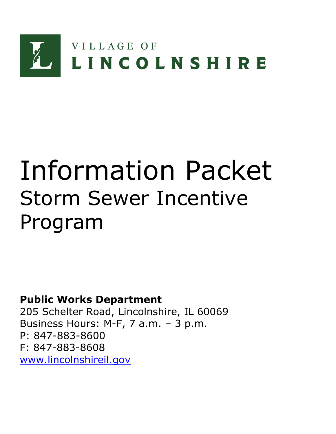

# Information Packet Storm Sewer Incentive Program

**Public Works Department**

205 Schelter Road, Lincolnshire, IL 60069 Business Hours: M-F, 7 a.m. – 3 p.m. P: 847-883-8600 F: 847-883-8608 [www.lincolnshireil.gov](http://www.lincolnshireil.gov/)